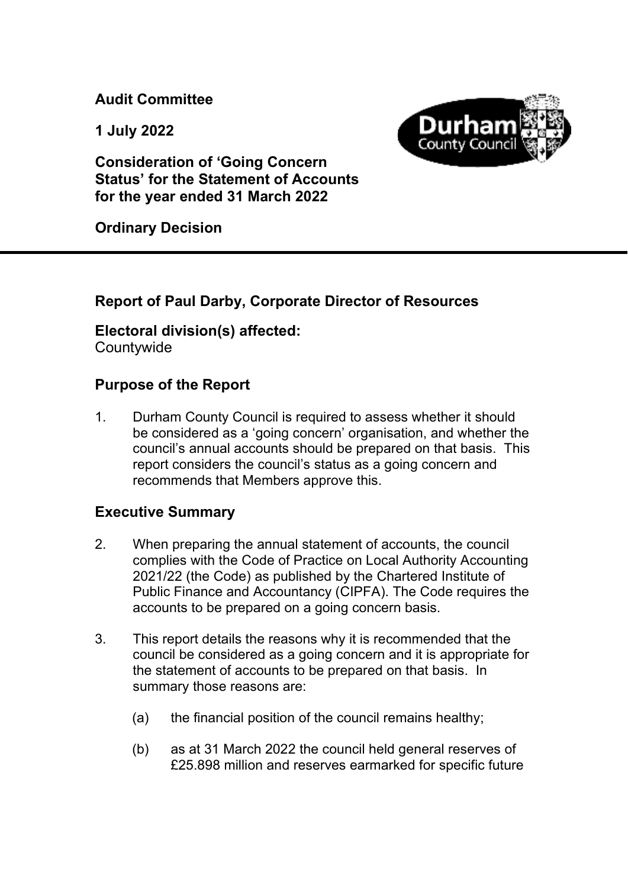**Audit Committee** 

**1 July 2022** 



**Consideration of 'Going Concern Status' for the Statement of Accounts for the year ended 31 March 2022** 

**Ordinary Decision** 

## **Report of Paul Darby, Corporate Director of Resources**

# **Electoral division(s) affected:**

**Countywide** 

### **Purpose of the Report**

1. Durham County Council is required to assess whether it should be considered as a 'going concern' organisation, and whether the council's annual accounts should be prepared on that basis. This report considers the council's status as a going concern and recommends that Members approve this.

#### **Executive Summary**

- 2. When preparing the annual statement of accounts, the council complies with the Code of Practice on Local Authority Accounting 2021/22 (the Code) as published by the Chartered Institute of Public Finance and Accountancy (CIPFA). The Code requires the accounts to be prepared on a going concern basis.
- 3. This report details the reasons why it is recommended that the council be considered as a going concern and it is appropriate for the statement of accounts to be prepared on that basis. In summary those reasons are:
	- (a) the financial position of the council remains healthy;
	- (b) as at 31 March 2022 the council held general reserves of £25.898 million and reserves earmarked for specific future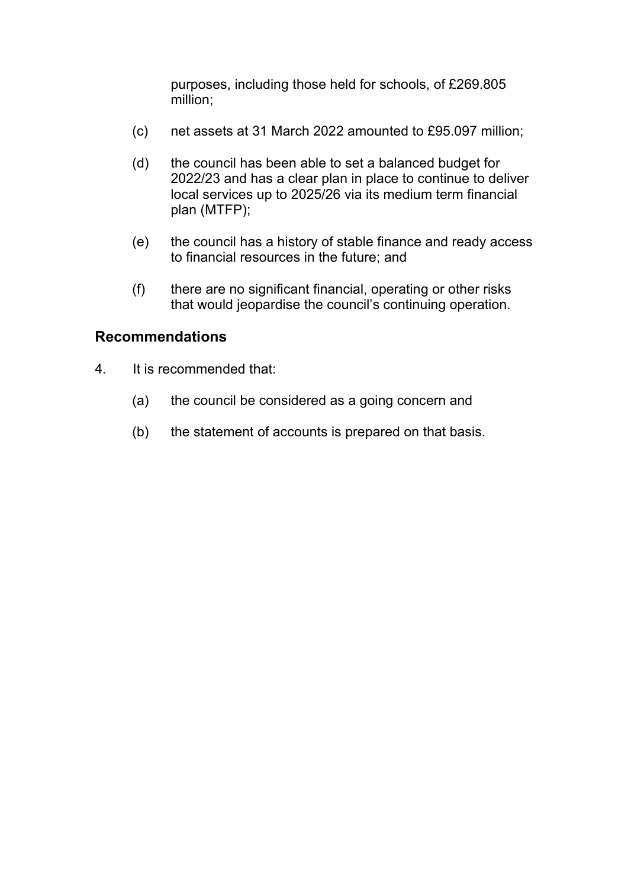purposes, including those held for schools, of £269.805 million;

- (c) net assets at 31 March 2022 amounted to £95.097 million;
- (d) the council has been able to set a balanced budget for 2022/23 and has a clear plan in place to continue to deliver local services up to 2025/26 via its medium term financial plan (MTFP);
- (e) the council has a history of stable finance and ready access to financial resources in the future; and
- (f) there are no significant financial, operating or other risks that would jeopardise the council's continuing operation.

#### **Recommendations**

- 4. It is recommended that:
	- (a) the council be considered as a going concern and
	- (b) the statement of accounts is prepared on that basis.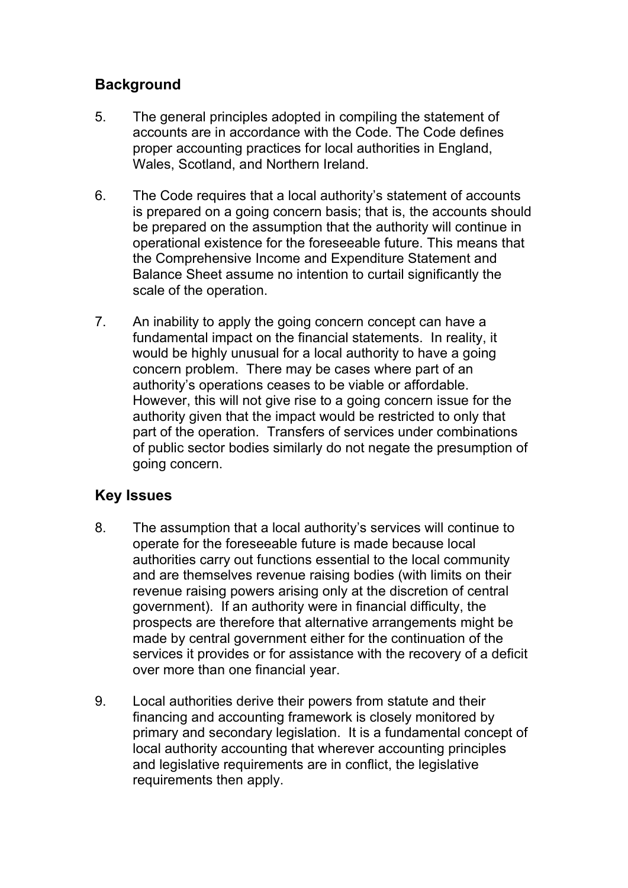### **Background**

- 5. The general principles adopted in compiling the statement of accounts are in accordance with the Code. The Code defines proper accounting practices for local authorities in England, Wales, Scotland, and Northern Ireland.
- 6. The Code requires that a local authority's statement of accounts is prepared on a going concern basis; that is, the accounts should be prepared on the assumption that the authority will continue in operational existence for the foreseeable future. This means that the Comprehensive Income and Expenditure Statement and Balance Sheet assume no intention to curtail significantly the scale of the operation.
- 7. An inability to apply the going concern concept can have a fundamental impact on the financial statements. In reality, it would be highly unusual for a local authority to have a going concern problem. There may be cases where part of an authority's operations ceases to be viable or affordable. However, this will not give rise to a going concern issue for the authority given that the impact would be restricted to only that part of the operation. Transfers of services under combinations of public sector bodies similarly do not negate the presumption of going concern.

## **Key Issues**

- 8. The assumption that a local authority's services will continue to operate for the foreseeable future is made because local authorities carry out functions essential to the local community and are themselves revenue raising bodies (with limits on their revenue raising powers arising only at the discretion of central government). If an authority were in financial difficulty, the prospects are therefore that alternative arrangements might be made by central government either for the continuation of the services it provides or for assistance with the recovery of a deficit over more than one financial year.
- 9. Local authorities derive their powers from statute and their financing and accounting framework is closely monitored by primary and secondary legislation. It is a fundamental concept of local authority accounting that wherever accounting principles and legislative requirements are in conflict, the legislative requirements then apply.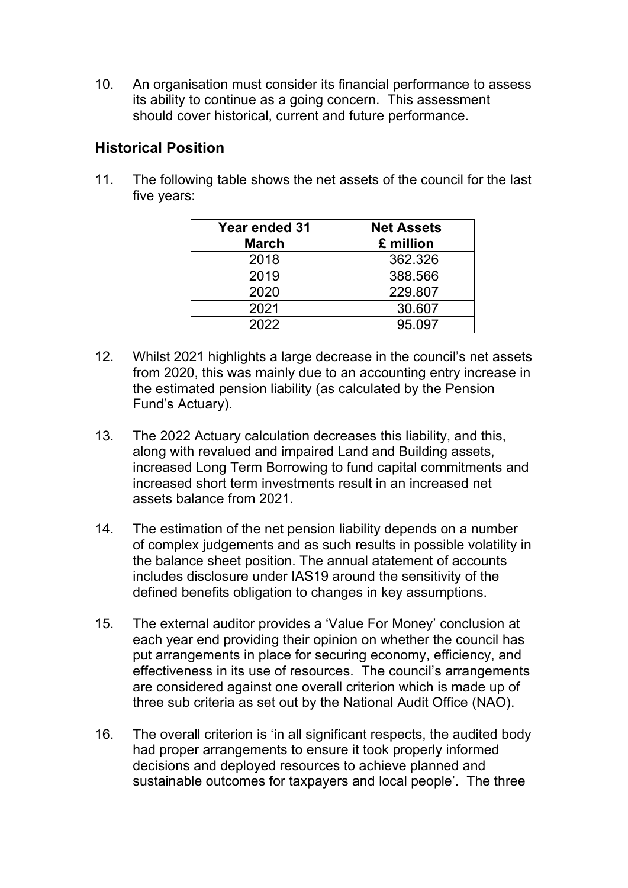10. An organisation must consider its financial performance to assess its ability to continue as a going concern. This assessment should cover historical, current and future performance.

### **Historical Position**

11. The following table shows the net assets of the council for the last five years:

| <b>Year ended 31</b> | <b>Net Assets</b> |  |
|----------------------|-------------------|--|
| <b>March</b>         | £ million         |  |
| 2018                 | 362.326           |  |
| 2019                 | 388.566           |  |
| 2020                 | 229.807           |  |
| 2021                 | 30.607            |  |
| 2022                 | 95.097            |  |

- 12. Whilst 2021 highlights a large decrease in the council's net assets from 2020, this was mainly due to an accounting entry increase in the estimated pension liability (as calculated by the Pension Fund's Actuary).
- 13. The 2022 Actuary calculation decreases this liability, and this, along with revalued and impaired Land and Building assets, increased Long Term Borrowing to fund capital commitments and increased short term investments result in an increased net assets balance from 2021.
- 14. The estimation of the net pension liability depends on a number of complex judgements and as such results in possible volatility in the balance sheet position. The annual atatement of accounts includes disclosure under IAS19 around the sensitivity of the defined benefits obligation to changes in key assumptions.
- 15. The external auditor provides a 'Value For Money' conclusion at each year end providing their opinion on whether the council has put arrangements in place for securing economy, efficiency, and effectiveness in its use of resources. The council's arrangements are considered against one overall criterion which is made up of three sub criteria as set out by the National Audit Office (NAO).
- 16. The overall criterion is 'in all significant respects, the audited body had proper arrangements to ensure it took properly informed decisions and deployed resources to achieve planned and sustainable outcomes for taxpayers and local people'. The three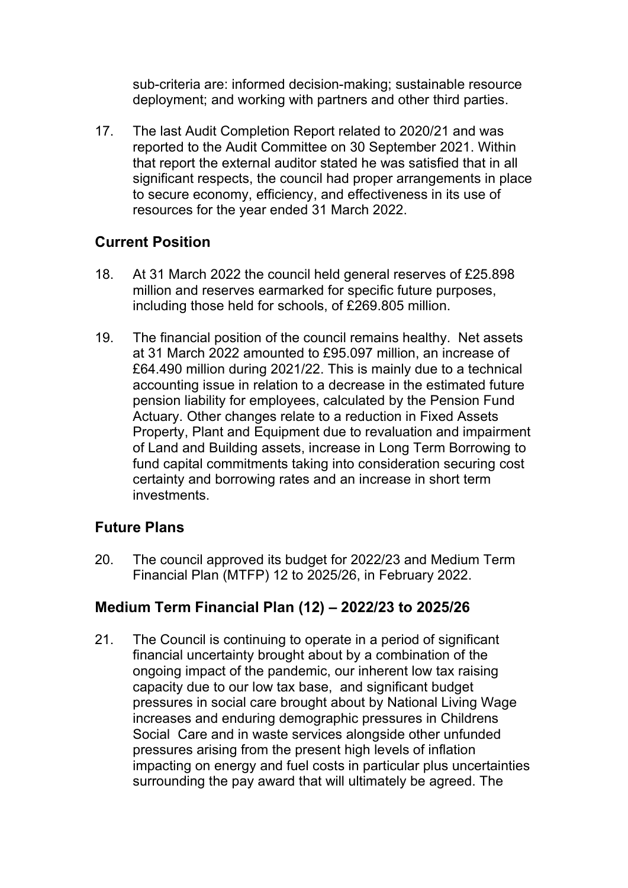sub-criteria are: informed decision-making; sustainable resource deployment; and working with partners and other third parties.

17. The last Audit Completion Report related to 2020/21 and was reported to the Audit Committee on 30 September 2021. Within that report the external auditor stated he was satisfied that in all significant respects, the council had proper arrangements in place to secure economy, efficiency, and effectiveness in its use of resources for the year ended 31 March 2022.

#### **Current Position**

- 18. At 31 March 2022 the council held general reserves of £25.898 million and reserves earmarked for specific future purposes, including those held for schools, of £269.805 million.
- 19. The financial position of the council remains healthy. Net assets at 31 March 2022 amounted to £95.097 million, an increase of £64.490 million during 2021/22. This is mainly due to a technical accounting issue in relation to a decrease in the estimated future pension liability for employees, calculated by the Pension Fund Actuary. Other changes relate to a reduction in Fixed Assets Property, Plant and Equipment due to revaluation and impairment of Land and Building assets, increase in Long Term Borrowing to fund capital commitments taking into consideration securing cost certainty and borrowing rates and an increase in short term investments.

#### **Future Plans**

20. The council approved its budget for 2022/23 and Medium Term Financial Plan (MTFP) 12 to 2025/26, in February 2022.

#### **Medium Term Financial Plan (12) – 2022/23 to 2025/26**

21. The Council is continuing to operate in a period of significant financial uncertainty brought about by a combination of the ongoing impact of the pandemic, our inherent low tax raising capacity due to our low tax base, and significant budget pressures in social care brought about by National Living Wage increases and enduring demographic pressures in Childrens Social Care and in waste services alongside other unfunded pressures arising from the present high levels of inflation impacting on energy and fuel costs in particular plus uncertainties surrounding the pay award that will ultimately be agreed. The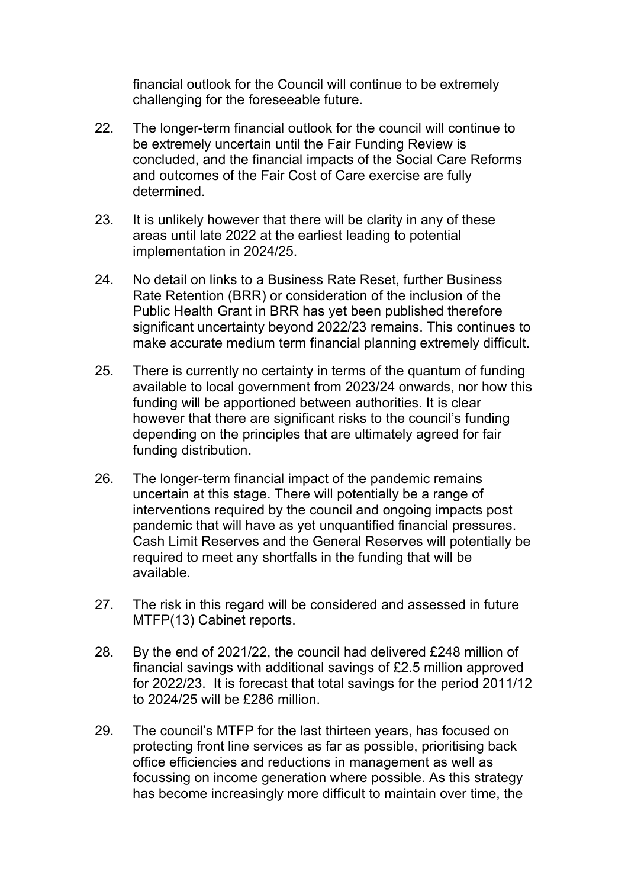financial outlook for the Council will continue to be extremely challenging for the foreseeable future.

- 22. The longer-term financial outlook for the council will continue to be extremely uncertain until the Fair Funding Review is concluded, and the financial impacts of the Social Care Reforms and outcomes of the Fair Cost of Care exercise are fully determined.
- 23. It is unlikely however that there will be clarity in any of these areas until late 2022 at the earliest leading to potential implementation in 2024/25.
- 24. No detail on links to a Business Rate Reset, further Business Rate Retention (BRR) or consideration of the inclusion of the Public Health Grant in BRR has yet been published therefore significant uncertainty beyond 2022/23 remains. This continues to make accurate medium term financial planning extremely difficult.
- 25. There is currently no certainty in terms of the quantum of funding available to local government from 2023/24 onwards, nor how this funding will be apportioned between authorities. It is clear however that there are significant risks to the council's funding depending on the principles that are ultimately agreed for fair funding distribution.
- 26. The longer-term financial impact of the pandemic remains uncertain at this stage. There will potentially be a range of interventions required by the council and ongoing impacts post pandemic that will have as yet unquantified financial pressures. Cash Limit Reserves and the General Reserves will potentially be required to meet any shortfalls in the funding that will be available.
- 27. The risk in this regard will be considered and assessed in future MTFP(13) Cabinet reports.
- 28. By the end of 2021/22, the council had delivered £248 million of financial savings with additional savings of £2.5 million approved for 2022/23. It is forecast that total savings for the period 2011/12 to 2024/25 will be £286 million.
- 29. The council's MTFP for the last thirteen years, has focused on protecting front line services as far as possible, prioritising back office efficiencies and reductions in management as well as focussing on income generation where possible. As this strategy has become increasingly more difficult to maintain over time, the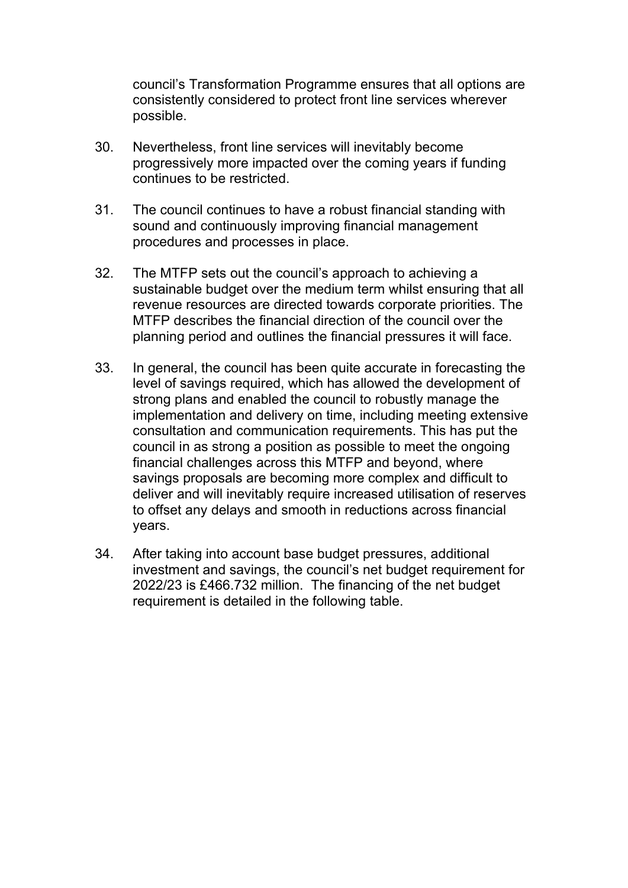council's Transformation Programme ensures that all options are consistently considered to protect front line services wherever possible.

- 30. Nevertheless, front line services will inevitably become progressively more impacted over the coming years if funding continues to be restricted.
- 31. The council continues to have a robust financial standing with sound and continuously improving financial management procedures and processes in place.
- 32. The MTFP sets out the council's approach to achieving a sustainable budget over the medium term whilst ensuring that all revenue resources are directed towards corporate priorities. The MTFP describes the financial direction of the council over the planning period and outlines the financial pressures it will face.
- 33. In general, the council has been quite accurate in forecasting the level of savings required, which has allowed the development of strong plans and enabled the council to robustly manage the implementation and delivery on time, including meeting extensive consultation and communication requirements. This has put the council in as strong a position as possible to meet the ongoing financial challenges across this MTFP and beyond, where savings proposals are becoming more complex and difficult to deliver and will inevitably require increased utilisation of reserves to offset any delays and smooth in reductions across financial years.
- 34. After taking into account base budget pressures, additional investment and savings, the council's net budget requirement for 2022/23 is £466.732 million. The financing of the net budget requirement is detailed in the following table.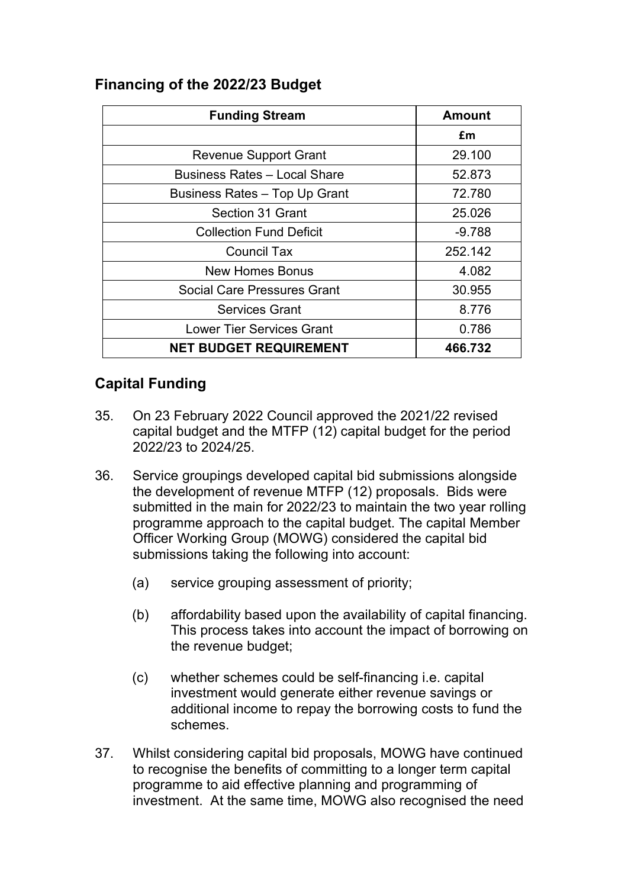#### **Financing of the 2022/23 Budget**

| <b>Funding Stream</b>               | <b>Amount</b> |  |
|-------------------------------------|---------------|--|
|                                     | £m            |  |
| <b>Revenue Support Grant</b>        | 29.100        |  |
| <b>Business Rates - Local Share</b> | 52.873        |  |
| Business Rates - Top Up Grant       | 72.780        |  |
| Section 31 Grant                    | 25.026        |  |
| <b>Collection Fund Deficit</b>      | $-9.788$      |  |
| <b>Council Tax</b>                  | 252.142       |  |
| New Homes Bonus                     | 4.082         |  |
| <b>Social Care Pressures Grant</b>  | 30.955        |  |
| <b>Services Grant</b>               | 8.776         |  |
| <b>Lower Tier Services Grant</b>    | 0.786         |  |
| <b>NET BUDGET REQUIREMENT</b>       | 466.732       |  |

### **Capital Funding**

- 35. On 23 February 2022 Council approved the 2021/22 revised capital budget and the MTFP (12) capital budget for the period 2022/23 to 2024/25.
- 36. Service groupings developed capital bid submissions alongside the development of revenue MTFP (12) proposals. Bids were submitted in the main for 2022/23 to maintain the two year rolling programme approach to the capital budget. The capital Member Officer Working Group (MOWG) considered the capital bid submissions taking the following into account:
	- (a) service grouping assessment of priority;
	- (b) affordability based upon the availability of capital financing. This process takes into account the impact of borrowing on the revenue budget;
	- (c) whether schemes could be self-financing i.e. capital investment would generate either revenue savings or additional income to repay the borrowing costs to fund the schemes.
- 37. Whilst considering capital bid proposals, MOWG have continued to recognise the benefits of committing to a longer term capital programme to aid effective planning and programming of investment. At the same time, MOWG also recognised the need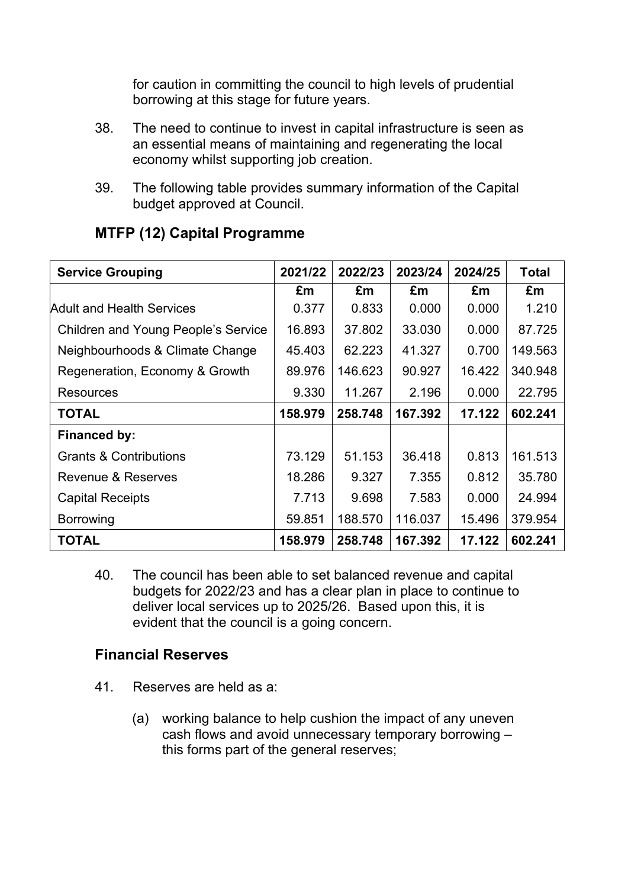for caution in committing the council to high levels of prudential borrowing at this stage for future years.

- 38. The need to continue to invest in capital infrastructure is seen as an essential means of maintaining and regenerating the local economy whilst supporting job creation.
- 39. The following table provides summary information of the Capital budget approved at Council.

| <b>Service Grouping</b>                    | 2021/22 | 2022/23 | 2023/24 | 2024/25 | <b>Total</b> |
|--------------------------------------------|---------|---------|---------|---------|--------------|
|                                            | £m      | £m      | £m      | £m      | £m           |
| <b>Adult and Health Services</b>           | 0.377   | 0.833   | 0.000   | 0.000   | 1.210        |
| <b>Children and Young People's Service</b> | 16.893  | 37.802  | 33.030  | 0.000   | 87.725       |
| Neighbourhoods & Climate Change            | 45.403  | 62.223  | 41.327  | 0.700   | 149.563      |
| Regeneration, Economy & Growth             | 89.976  | 146.623 | 90.927  | 16.422  | 340.948      |
| <b>Resources</b>                           | 9.330   | 11.267  | 2.196   | 0.000   | 22.795       |
| <b>TOTAL</b>                               | 158.979 | 258.748 | 167.392 | 17.122  | 602.241      |
| Financed by:                               |         |         |         |         |              |
| <b>Grants &amp; Contributions</b>          | 73.129  | 51.153  | 36.418  | 0.813   | 161.513      |
| Revenue & Reserves                         | 18.286  | 9.327   | 7.355   | 0.812   | 35.780       |
| <b>Capital Receipts</b>                    | 7.713   | 9.698   | 7.583   | 0.000   | 24.994       |
| <b>Borrowing</b>                           | 59.851  | 188.570 | 116.037 | 15.496  | 379.954      |
| <b>TOTAL</b>                               | 158.979 | 258.748 | 167.392 | 17.122  | 602.241      |

### **MTFP (12) Capital Programme**

40. The council has been able to set balanced revenue and capital budgets for 2022/23 and has a clear plan in place to continue to deliver local services up to 2025/26. Based upon this, it is evident that the council is a going concern.

#### **Financial Reserves**

- 41. Reserves are held as a:
	- (a) working balance to help cushion the impact of any uneven cash flows and avoid unnecessary temporary borrowing – this forms part of the general reserves;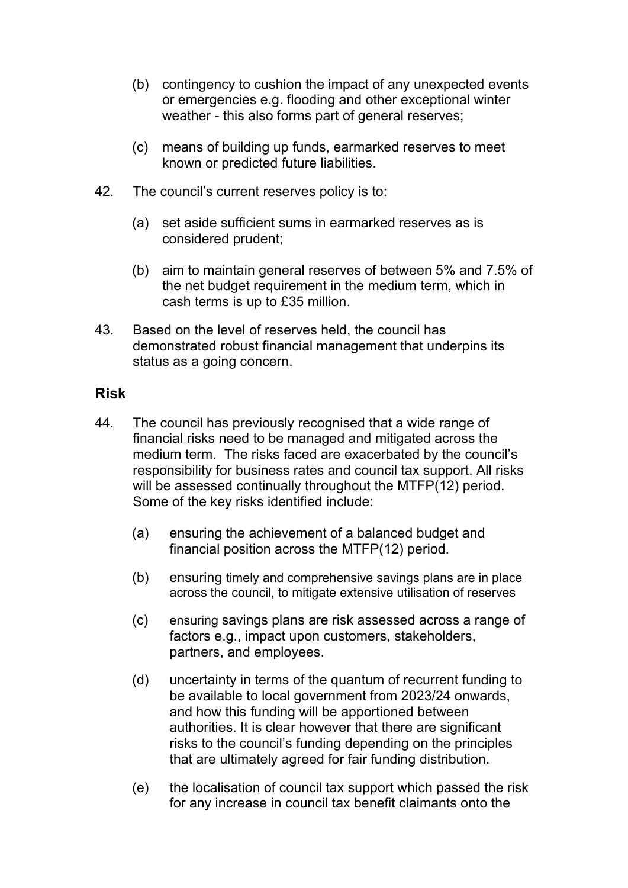- (b) contingency to cushion the impact of any unexpected events or emergencies e.g. flooding and other exceptional winter weather - this also forms part of general reserves;
- (c) means of building up funds, earmarked reserves to meet known or predicted future liabilities.
- 42. The council's current reserves policy is to:
	- (a) set aside sufficient sums in earmarked reserves as is considered prudent;
	- (b) aim to maintain general reserves of between 5% and 7.5% of the net budget requirement in the medium term, which in cash terms is up to £35 million.
- 43. Based on the level of reserves held, the council has demonstrated robust financial management that underpins its status as a going concern.

#### **Risk**

- 44. The council has previously recognised that a wide range of financial risks need to be managed and mitigated across the medium term. The risks faced are exacerbated by the council's responsibility for business rates and council tax support. All risks will be assessed continually throughout the MTFP(12) period. Some of the key risks identified include:
	- (a) ensuring the achievement of a balanced budget and financial position across the MTFP(12) period.
	- (b) ensuring timely and comprehensive savings plans are in place across the council, to mitigate extensive utilisation of reserves
	- (c) ensuring savings plans are risk assessed across a range of factors e.g., impact upon customers, stakeholders, partners, and employees.
	- (d) uncertainty in terms of the quantum of recurrent funding to be available to local government from 2023/24 onwards, and how this funding will be apportioned between authorities. It is clear however that there are significant risks to the council's funding depending on the principles that are ultimately agreed for fair funding distribution.
	- (e) the localisation of council tax support which passed the risk for any increase in council tax benefit claimants onto the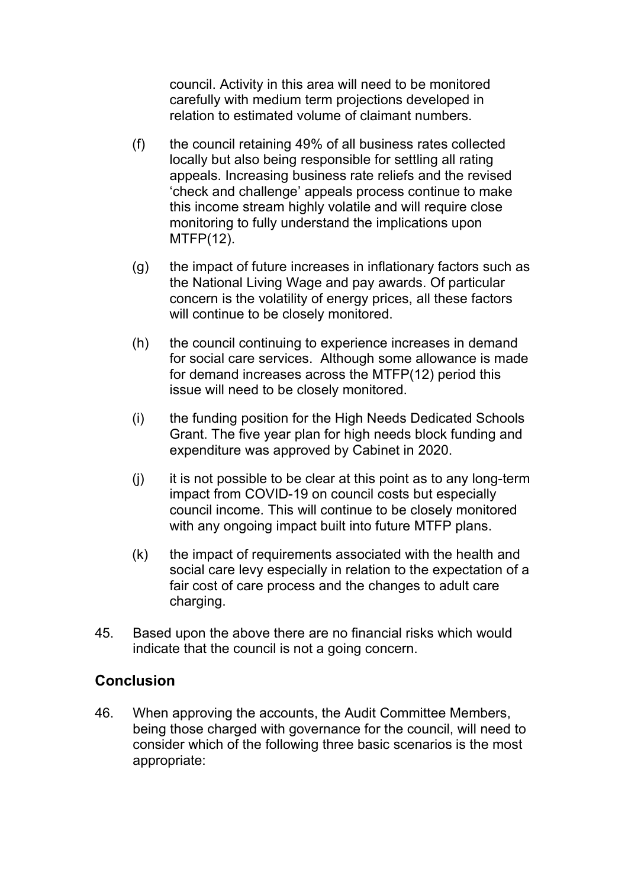council. Activity in this area will need to be monitored carefully with medium term projections developed in relation to estimated volume of claimant numbers.

- (f) the council retaining 49% of all business rates collected locally but also being responsible for settling all rating appeals. Increasing business rate reliefs and the revised 'check and challenge' appeals process continue to make this income stream highly volatile and will require close monitoring to fully understand the implications upon MTFP(12).
- (g) the impact of future increases in inflationary factors such as the National Living Wage and pay awards. Of particular concern is the volatility of energy prices, all these factors will continue to be closely monitored.
- (h) the council continuing to experience increases in demand for social care services. Although some allowance is made for demand increases across the MTFP(12) period this issue will need to be closely monitored.
- (i) the funding position for the High Needs Dedicated Schools Grant. The five year plan for high needs block funding and expenditure was approved by Cabinet in 2020.
- (j) it is not possible to be clear at this point as to any long-term impact from COVID-19 on council costs but especially council income. This will continue to be closely monitored with any ongoing impact built into future MTFP plans.
- (k) the impact of requirements associated with the health and social care levy especially in relation to the expectation of a fair cost of care process and the changes to adult care charging.
- 45. Based upon the above there are no financial risks which would indicate that the council is not a going concern.

#### **Conclusion**

46. When approving the accounts, the Audit Committee Members, being those charged with governance for the council, will need to consider which of the following three basic scenarios is the most appropriate: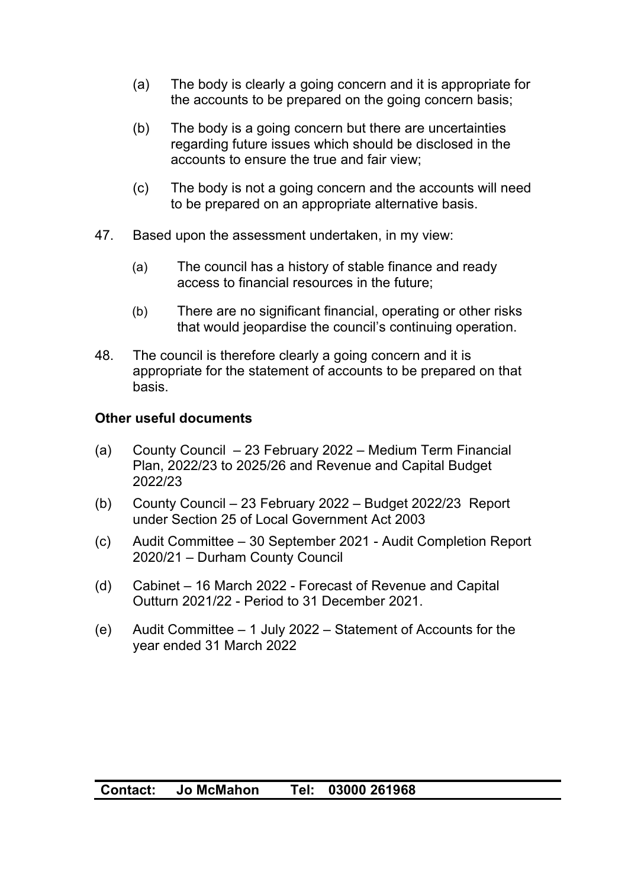- (a) The body is clearly a going concern and it is appropriate for the accounts to be prepared on the going concern basis;
- (b) The body is a going concern but there are uncertainties regarding future issues which should be disclosed in the accounts to ensure the true and fair view;
- (c) The body is not a going concern and the accounts will need to be prepared on an appropriate alternative basis.
- 47. Based upon the assessment undertaken, in my view:
	- (a) The council has a history of stable finance and ready access to financial resources in the future;
	- (b) There are no significant financial, operating or other risks that would jeopardise the council's continuing operation.
- 48. The council is therefore clearly a going concern and it is appropriate for the statement of accounts to be prepared on that basis.

#### **Other useful documents**

- (a) County Council 23 February 2022 Medium Term Financial Plan, 2022/23 to 2025/26 and Revenue and Capital Budget 2022/23
- (b) County Council 23 February 2022 Budget 2022/23 Report under Section 25 of Local Government Act 2003
- (c) Audit Committee 30 September 2021 Audit Completion Report 2020/21 – Durham County Council
- (d) Cabinet 16 March 2022 Forecast of Revenue and Capital Outturn 2021/22 - Period to 31 December 2021.
- (e) Audit Committee 1 July 2022 Statement of Accounts for the year ended 31 March 2022